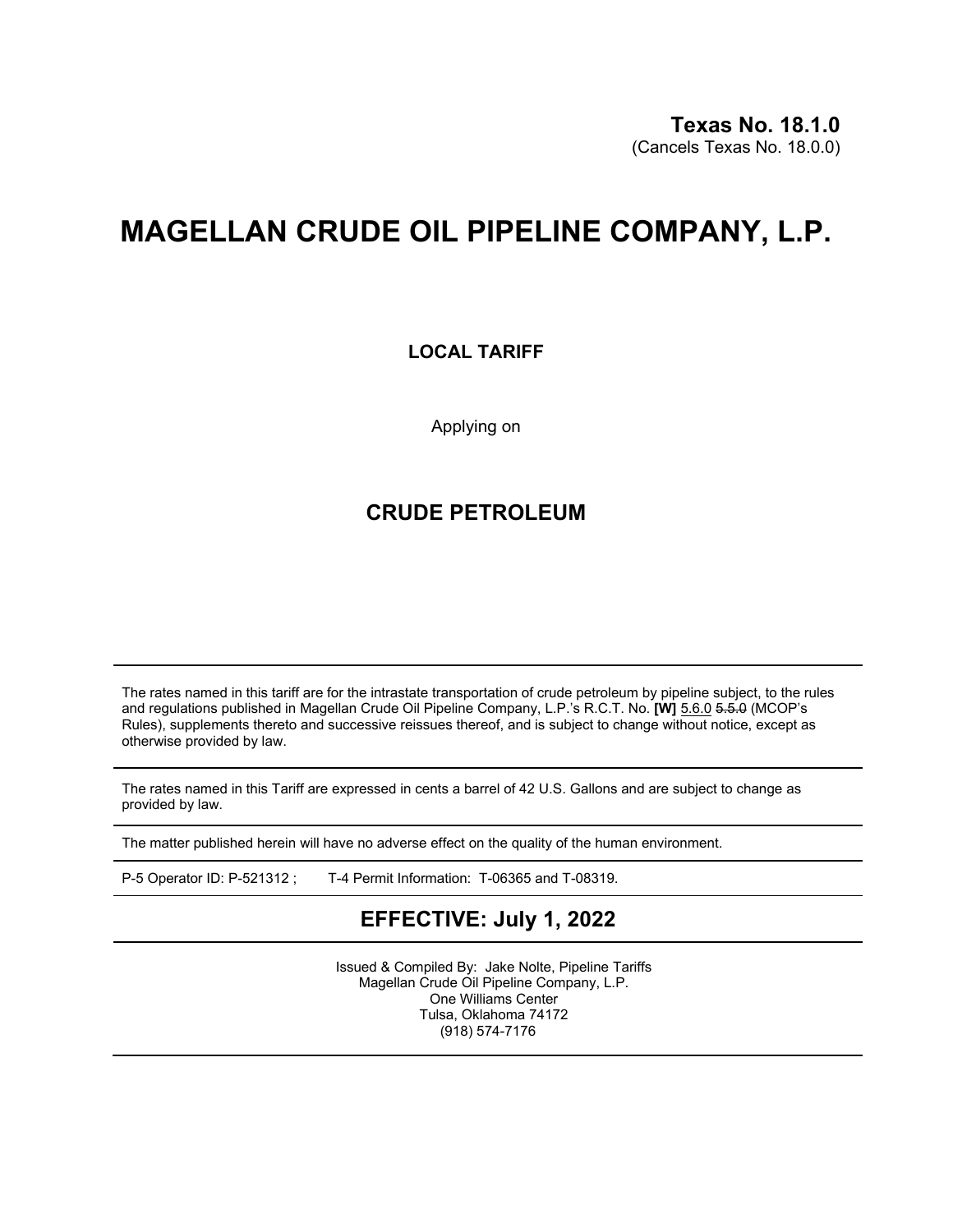# **MAGELLAN CRUDE OIL PIPELINE COMPANY, L.P.**

### **LOCAL TARIFF**

Applying on

### **CRUDE PETROLEUM**

The rates named in this tariff are for the intrastate transportation of crude petroleum by pipeline subject, to the rules and regulations published in Magellan Crude Oil Pipeline Company, L.P.'s R.C.T. No. **[W]** 5.6.0 5.5.0 (MCOP's Rules), supplements thereto and successive reissues thereof, and is subject to change without notice, except as otherwise provided by law.

The rates named in this Tariff are expressed in cents a barrel of 42 U.S. Gallons and are subject to change as provided by law.

The matter published herein will have no adverse effect on the quality of the human environment.

P-5 Operator ID: P-521312 ; T-4 Permit Information: T-06365 and T-08319.

## **EFFECTIVE: July 1, 2022**

Issued & Compiled By: Jake Nolte, Pipeline Tariffs Magellan Crude Oil Pipeline Company, L.P. One Williams Center Tulsa, Oklahoma 74172 (918) 574-7176